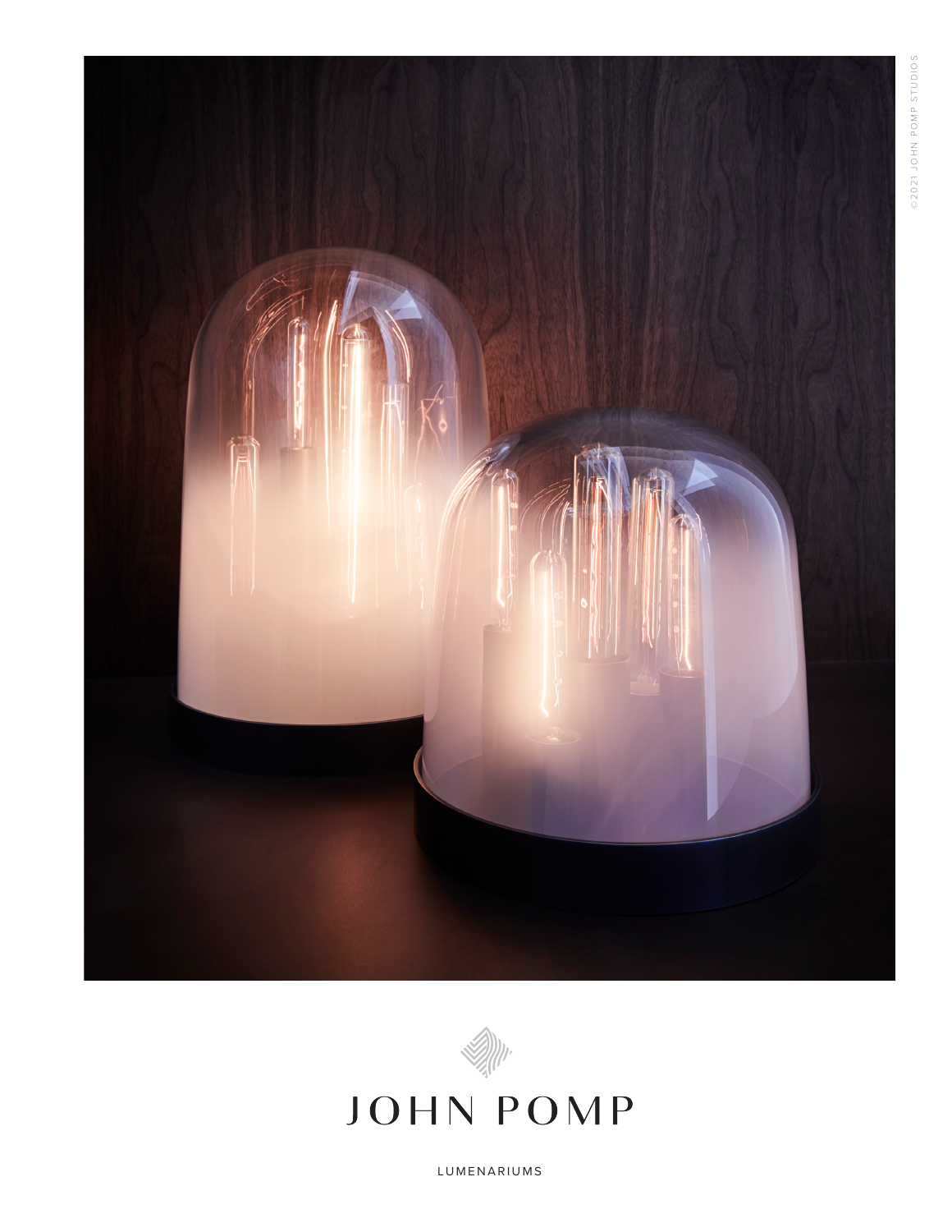



# **JOHN POMP**

LUMENARIUMS